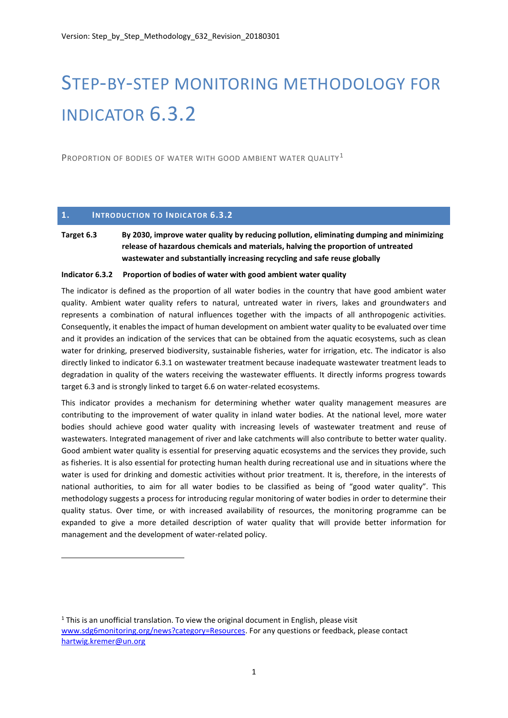# STEP-BY-STEP MONITORING METHODOLOGY FOR INDICATOR 6.3.2

PROPORTION OF BODIES OF WATER WITH GOOD AMBIENT WATER OUALITY<sup>1</sup>

## **1. INTRODUCTION TO INDICATOR 6.3.2**

1

# **Target 6.3 By 2030, improve water quality by reducing pollution, eliminating dumping and minimizing release of hazardous chemicals and materials, halving the proportion of untreated wastewater and substantially increasing recycling and safe reuse globally**

#### **Indicator 6.3.2 Proportion of bodies of water with good ambient water quality**

The indicator is defined as the proportion of all water bodies in the country that have good ambient water quality. Ambient water quality refers to natural, untreated water in rivers, lakes and groundwaters and represents a combination of natural influences together with the impacts of all anthropogenic activities. Consequently, it enables the impact of human development on ambient water quality to be evaluated over time and it provides an indication of the services that can be obtained from the aquatic ecosystems, such as clean water for drinking, preserved biodiversity, sustainable fisheries, water for irrigation, etc. The indicator is also directly linked to indicator 6.3.1 on wastewater treatment because inadequate wastewater treatment leads to degradation in quality of the waters receiving the wastewater effluents. It directly informs progress towards target 6.3 and is strongly linked to target 6.6 on water-related ecosystems.

This indicator provides a mechanism for determining whether water quality management measures are contributing to the improvement of water quality in inland water bodies. At the national level, more water bodies should achieve good water quality with increasing levels of wastewater treatment and reuse of wastewaters. Integrated management of river and lake catchments will also contribute to better water quality. Good ambient water quality is essential for preserving aquatic ecosystems and the services they provide, such as fisheries. It is also essential for protecting human health during recreational use and in situations where the water is used for drinking and domestic activities without prior treatment. It is, therefore, in the interests of national authorities, to aim for all water bodies to be classified as being of "good water quality". This methodology suggests a process for introducing regular monitoring of water bodies in order to determine their quality status. Over time, or with increased availability of resources, the monitoring programme can be expanded to give a more detailed description of water quality that will provide better information for management and the development of water-related policy.

 $1$  This is an unofficial translation. To view the original document in English, please visit [www.sdg6monitoring.org/news?category=Resources.](http://www.sdg6monitoring.org/news?category=Resources) For any questions or feedback, please contact [hartwig.kremer@un.org](mailto:hartwig.kremer@un.org)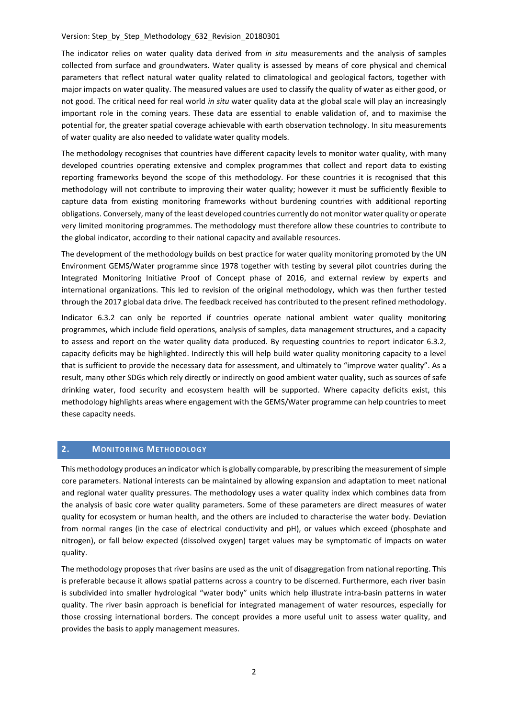The indicator relies on water quality data derived from *in situ* measurements and the analysis of samples collected from surface and groundwaters. Water quality is assessed by means of core physical and chemical parameters that reflect natural water quality related to climatological and geological factors, together with major impacts on water quality. The measured values are used to classify the quality of water as either good, or not good. The critical need for real world *in situ* water quality data at the global scale will play an increasingly important role in the coming years. These data are essential to enable validation of, and to maximise the potential for, the greater spatial coverage achievable with earth observation technology. In situ measurements of water quality are also needed to validate water quality models.

The methodology recognises that countries have different capacity levels to monitor water quality, with many developed countries operating extensive and complex programmes that collect and report data to existing reporting frameworks beyond the scope of this methodology. For these countries it is recognised that this methodology will not contribute to improving their water quality; however it must be sufficiently flexible to capture data from existing monitoring frameworks without burdening countries with additional reporting obligations. Conversely, many of the least developed countries currently do not monitor water quality or operate very limited monitoring programmes. The methodology must therefore allow these countries to contribute to the global indicator, according to their national capacity and available resources.

The development of the methodology builds on best practice for water quality monitoring promoted by the UN Environment GEMS/Water programme since 1978 together with testing by several pilot countries during the Integrated Monitoring Initiative Proof of Concept phase of 2016, and external review by experts and international organizations. This led to revision of the original methodology, which was then further tested through the 2017 global data drive. The feedback received has contributed to the present refined methodology.

Indicator 6.3.2 can only be reported if countries operate national ambient water quality monitoring programmes, which include field operations, analysis of samples, data management structures, and a capacity to assess and report on the water quality data produced. By requesting countries to report indicator 6.3.2, capacity deficits may be highlighted. Indirectly this will help build water quality monitoring capacity to a level that is sufficient to provide the necessary data for assessment, and ultimately to "improve water quality". As a result, many other SDGs which rely directly or indirectly on good ambient water quality, such as sources of safe drinking water, food security and ecosystem health will be supported. Where capacity deficits exist, this methodology highlights areas where engagement with the GEMS/Water programme can help countries to meet these capacity needs.

# **2. MONITORING METHODOLOGY**

This methodology produces an indicator which is globally comparable, by prescribing the measurement of simple core parameters. National interests can be maintained by allowing expansion and adaptation to meet national and regional water quality pressures. The methodology uses a water quality index which combines data from the analysis of basic core water quality parameters. Some of these parameters are direct measures of water quality for ecosystem or human health, and the others are included to characterise the water body. Deviation from normal ranges (in the case of electrical conductivity and pH), or values which exceed (phosphate and nitrogen), or fall below expected (dissolved oxygen) target values may be symptomatic of impacts on water quality.

The methodology proposes that river basins are used as the unit of disaggregation from national reporting. This is preferable because it allows spatial patterns across a country to be discerned. Furthermore, each river basin is subdivided into smaller hydrological "water body" units which help illustrate intra-basin patterns in water quality. The river basin approach is beneficial for integrated management of water resources, especially for those crossing international borders. The concept provides a more useful unit to assess water quality, and provides the basis to apply management measures.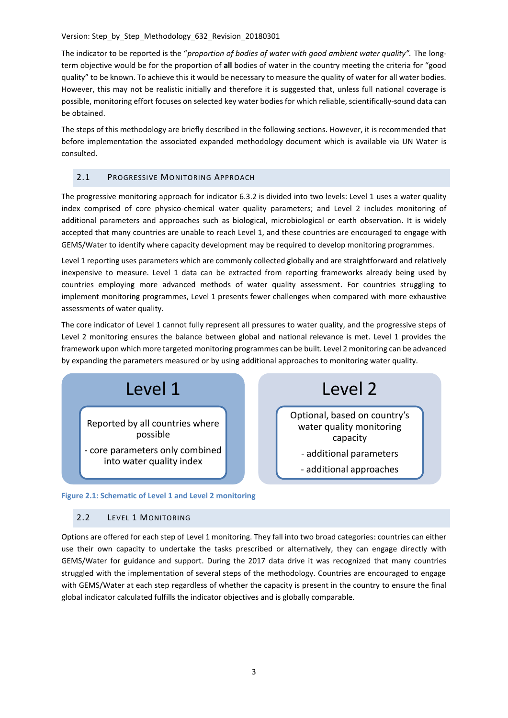The indicator to be reported is the "*proportion of bodies of water with good ambient water quality".* The longterm objective would be for the proportion of **all** bodies of water in the country meeting the criteria for "good quality" to be known. To achieve this it would be necessary to measure the quality of water for all water bodies. However, this may not be realistic initially and therefore it is suggested that, unless full national coverage is possible, monitoring effort focuses on selected key water bodies for which reliable, scientifically-sound data can be obtained.

The steps of this methodology are briefly described in the following sections. However, it is recommended that before implementation the associated expanded methodology document which is available via UN Water is consulted.

# 2.1 PROGRESSIVE MONITORING APPROACH

The progressive monitoring approach for indicator 6.3.2 is divided into two levels: Level 1 uses a water quality index comprised of core physico-chemical water quality parameters; and Level 2 includes monitoring of additional parameters and approaches such as biological, microbiological or earth observation. It is widely accepted that many countries are unable to reach Level 1, and these countries are encouraged to engage with GEMS/Water to identify where capacity development may be required to develop monitoring programmes.

Level 1 reporting uses parameters which are commonly collected globally and are straightforward and relatively inexpensive to measure. Level 1 data can be extracted from reporting frameworks already being used by countries employing more advanced methods of water quality assessment. For countries struggling to implement monitoring programmes, Level 1 presents fewer challenges when compared with more exhaustive assessments of water quality.

The core indicator of Level 1 cannot fully represent all pressures to water quality, and the progressive steps of Level 2 monitoring ensures the balance between global and national relevance is met. Level 1 provides the framework upon which more targeted monitoring programmes can be built. Level 2 monitoring can be advanced by expanding the parameters measured or by using additional approaches to monitoring water quality.

Level 2

Optional, based on country's water quality monitoring capacity - additional parameters - additional approaches



## **Figure 2.1: Schematic of Level 1 and Level 2 monitoring**

# 2.2 LEVEL 1 MONITORING

Options are offered for each step of Level 1 monitoring. They fall into two broad categories: countries can either use their own capacity to undertake the tasks prescribed or alternatively, they can engage directly with GEMS/Water for guidance and support. During the 2017 data drive it was recognized that many countries struggled with the implementation of several steps of the methodology. Countries are encouraged to engage with GEMS/Water at each step regardless of whether the capacity is present in the country to ensure the final

global indicator calculated fulfills the indicator objectives and is globally comparable.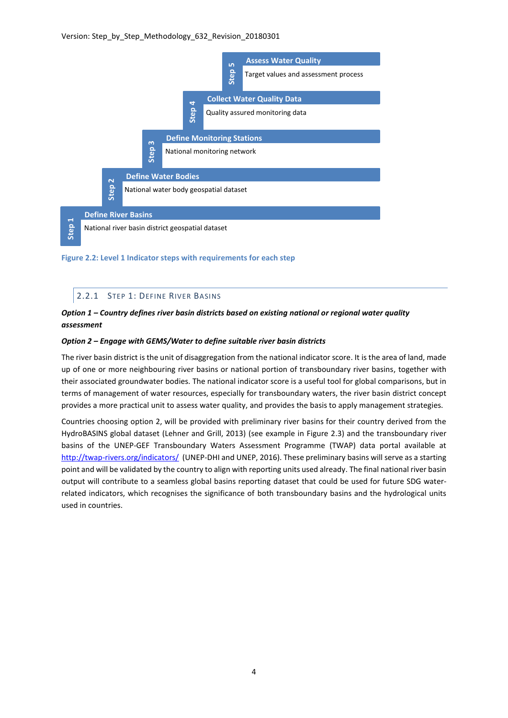

**Figure 2.2: Level 1 Indicator steps with requirements for each step**

## 2.2.1 STEP 1: DEFINE RIVER BASINS

# *Option 1 – Country defines river basin districts based on existing national or regional water quality assessment*

## *Option 2 – Engage with GEMS/Water to define suitable river basin districts*

The river basin district is the unit of disaggregation from the national indicator score. It is the area of land, made up of one or more neighbouring river basins or national portion of transboundary river basins, together with their associated groundwater bodies. The national indicator score is a useful tool for global comparisons, but in terms of management of water resources, especially for transboundary waters, the river basin district concept provides a more practical unit to assess water quality, and provides the basis to apply management strategies.

Countries choosing option 2, will be provided with preliminary river basins for their country derived from the HydroBASINS global dataset (Lehner and Grill, 2013) (see example in [Figure 2.3\)](#page-4-0) and the transboundary river basins of the UNEP-GEF Transboundary Waters Assessment Programme (TWAP) data portal available at <http://twap-rivers.org/indicators/> (UNEP-DHI and UNEP, 2016). These preliminary basins will serve as a starting point and will be validated by the country to align with reporting units used already. The final national river basin output will contribute to a seamless global basins reporting dataset that could be used for future SDG waterrelated indicators, which recognises the significance of both transboundary basins and the hydrological units used in countries.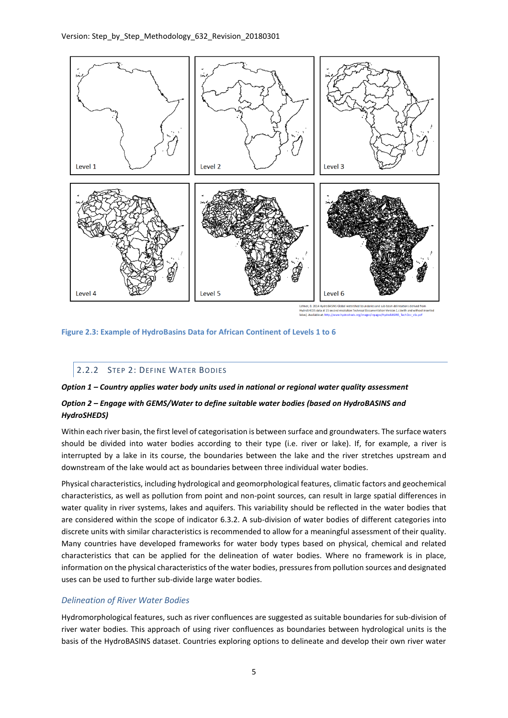

<span id="page-4-0"></span>**Figure 2.3: Example of HydroBasins Data for African Continent of Levels 1 to 6**

# 2.2.2 STEP 2: DEFINE WATER BODIES

## *Option 1 – Country applies water body units used in national or regional water quality assessment*

# *Option 2 – Engage with GEMS/Water to define suitable water bodies (based on HydroBASINS and HydroSHEDS)*

Within each river basin, the first level of categorisation is between surface and groundwaters. The surface waters should be divided into water bodies according to their type (i.e. river or lake). If, for example, a river is interrupted by a lake in its course, the boundaries between the lake and the river stretches upstream and downstream of the lake would act as boundaries between three individual water bodies.

Physical characteristics, including hydrological and geomorphological features, climatic factors and geochemical characteristics, as well as pollution from point and non-point sources, can result in large spatial differences in water quality in river systems, lakes and aquifers. This variability should be reflected in the water bodies that are considered within the scope of indicator 6.3.2. A sub-division of water bodies of different categories into discrete units with similar characteristics is recommended to allow for a meaningful assessment of their quality. Many countries have developed frameworks for water body types based on physical, chemical and related characteristics that can be applied for the delineation of water bodies. Where no framework is in place, information on the physical characteristics of the water bodies, pressures from pollution sources and designated uses can be used to further sub-divide large water bodies.

# *Delineation of River Water Bodies*

Hydromorphological features, such as river confluences are suggested as suitable boundaries for sub-division of river water bodies. This approach of using river confluences as boundaries between hydrological units is the basis of the HydroBASINS dataset. Countries exploring options to delineate and develop their own river water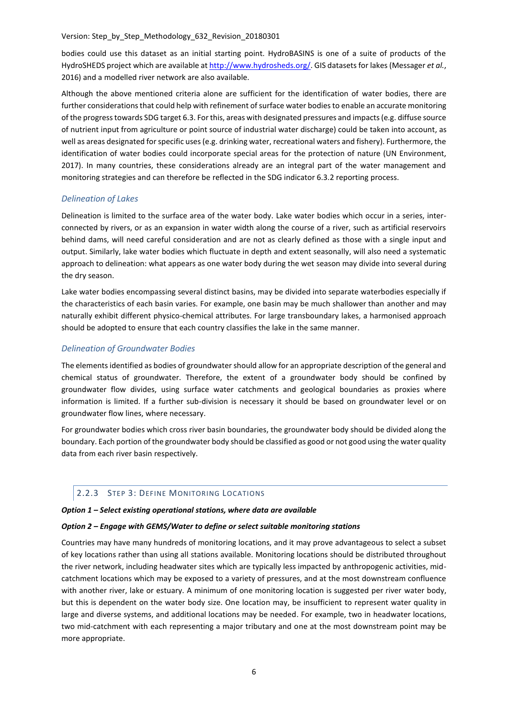bodies could use this dataset as an initial starting point. HydroBASINS is one of a suite of products of the HydroSHEDS project which are available a[t http://www.hydrosheds.org/.](http://www.hydrosheds.org/) GIS datasets for lakes (Messager *et al.*, 2016) and a modelled river network are also available.

Although the above mentioned criteria alone are sufficient for the identification of water bodies, there are further considerations that could help with refinement of surface water bodiesto enable an accurate monitoring of the progress towards SDG target 6.3. For this, areas with designated pressures and impacts (e.g. diffuse source of nutrient input from agriculture or point source of industrial water discharge) could be taken into account, as well as areas designated for specific uses (e.g. drinking water, recreational waters and fishery). Furthermore, the identification of water bodies could incorporate special areas for the protection of nature (UN Environment, 2017). In many countries, these considerations already are an integral part of the water management and monitoring strategies and can therefore be reflected in the SDG indicator 6.3.2 reporting process.

## *Delineation of Lakes*

Delineation is limited to the surface area of the water body. Lake water bodies which occur in a series, interconnected by rivers, or as an expansion in water width along the course of a river, such as artificial reservoirs behind dams, will need careful consideration and are not as clearly defined as those with a single input and output. Similarly, lake water bodies which fluctuate in depth and extent seasonally, will also need a systematic approach to delineation: what appears as one water body during the wet season may divide into several during the dry season.

Lake water bodies encompassing several distinct basins, may be divided into separate waterbodies especially if the characteristics of each basin varies. For example, one basin may be much shallower than another and may naturally exhibit different physico-chemical attributes. For large transboundary lakes, a harmonised approach should be adopted to ensure that each country classifies the lake in the same manner.

## *Delineation of Groundwater Bodies*

The elements identified as bodies of groundwater should allow for an appropriate description of the general and chemical status of groundwater. Therefore, the extent of a groundwater body should be confined by groundwater flow divides, using surface water catchments and geological boundaries as proxies where information is limited. If a further sub-division is necessary it should be based on groundwater level or on groundwater flow lines, where necessary.

For groundwater bodies which cross river basin boundaries, the groundwater body should be divided along the boundary. Each portion of the groundwater body should be classified as good or not good using the water quality data from each river basin respectively.

# 2.2.3 STEP 3: DEFINE MONITORING LOCATIONS

## *Option 1 – Select existing operational stations, where data are available*

## *Option 2 – Engage with GEMS/Water to define or select suitable monitoring stations*

Countries may have many hundreds of monitoring locations, and it may prove advantageous to select a subset of key locations rather than using all stations available. Monitoring locations should be distributed throughout the river network, including headwater sites which are typically less impacted by anthropogenic activities, midcatchment locations which may be exposed to a variety of pressures, and at the most downstream confluence with another river, lake or estuary. A minimum of one monitoring location is suggested per river water body, but this is dependent on the water body size. One location may, be insufficient to represent water quality in large and diverse systems, and additional locations may be needed. For example, two in headwater locations, two mid-catchment with each representing a major tributary and one at the most downstream point may be more appropriate.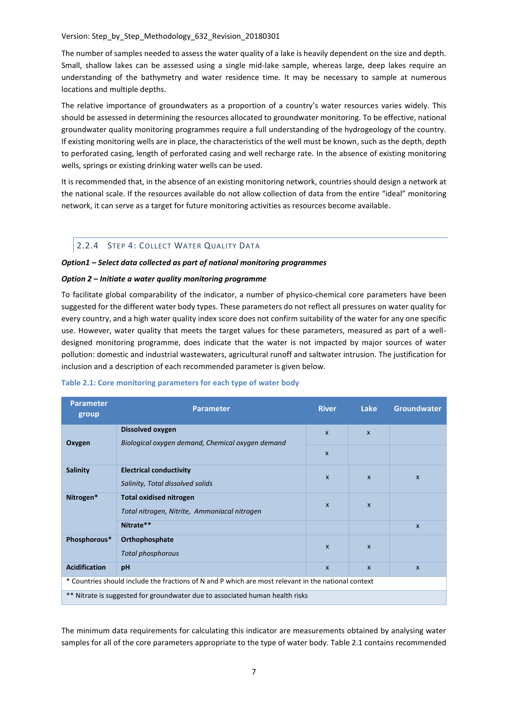The number of samples needed to assess the water quality of a lake is heavily dependent on the size and depth. Small, shallow lakes can be assessed using a single mid-lake sample, whereas large, deep lakes require an understanding of the bathymetry and water residence time. It may be necessary to sample at numerous locations and multiple depths.

The relative importance of groundwaters as a proportion of a country's water resources varies widely. This should be assessed in determining the resources allocated to groundwater monitoring. To be effective, national groundwater quality monitoring programmes require a full understanding of the hydrogeology of the country. If existing monitoring wells are in place, the characteristics of the well must be known, such as the depth, depth to perforated casing, length of perforated casing and well recharge rate. In the absence of existing monitoring wells, springs or existing drinking water wells can be used.

It is recommended that, in the absence of an existing monitoring network, countries should design a network at the national scale. If the resources available do not allow collection of data from the entire "ideal" monitoring network, it can serve as a target for future monitoring activities as resources become available.

# 2.2.4 STEP 4: COLLECT WATER QUALITY DATA

## *Option1 – Select data collected as part of national monitoring programmes*

## *Option 2 – Initiate a water quality monitoring programme*

To facilitate global comparability of the indicator, a number of physico-chemical core parameters have been suggested for the different water body types. These parameters do not reflect all pressures on water quality for every country, and a high water quality index score does not confirm suitability of the water for any one specific use. However, water quality that meets the target values for these parameters, measured as part of a welldesigned monitoring programme, does indicate that the water is not impacted by major sources of water pollution: domestic and industrial wastewaters, agricultural runoff and saltwater intrusion. The justification for inclusion and a description of each recommended parameter is given below.

| <b>Parameter</b><br>group                                                                           | <b>Parameter</b>                                                               | <b>River</b>              | Lake         | <b>Groundwater</b> |  |
|-----------------------------------------------------------------------------------------------------|--------------------------------------------------------------------------------|---------------------------|--------------|--------------------|--|
| Oxygen                                                                                              | Dissolved oxygen<br>Biological oxygen demand, Chemical oxygen demand           | $\mathbf{x}$              | $\mathsf{x}$ |                    |  |
|                                                                                                     |                                                                                | $\boldsymbol{\mathsf{x}}$ |              |                    |  |
| <b>Salinity</b>                                                                                     | <b>Electrical conductivity</b><br>Salinity, Total dissolved solids             | $\mathbf{x}$              | $\mathbf{x}$ | $\mathsf{x}$       |  |
| Nitrogen*                                                                                           | <b>Total oxidised nitrogen</b><br>Total nitrogen, Nitrite, Ammoniacal nitrogen | $\mathsf{x}$              | $\mathsf{x}$ |                    |  |
|                                                                                                     | Nitrate**                                                                      |                           |              | $\mathbf{x}$       |  |
| Phosphorous*                                                                                        | Orthophosphate<br><b>Total phosphorous</b>                                     | $\mathsf{x}$              | $\mathsf{x}$ |                    |  |
| <b>Acidification</b>                                                                                | pH                                                                             | $\mathsf{x}$              | $\mathsf{x}$ | $\mathsf{x}$       |  |
| * Countries should include the fractions of N and P which are most relevant in the national context |                                                                                |                           |              |                    |  |
| ** Nitrate is suggested for groundwater due to associated human health risks                        |                                                                                |                           |              |                    |  |

#### **Table 2.1: Core monitoring parameters for each type of water body**

The minimum data requirements for calculating this indicator are measurements obtained by analysing water samples for all of the core parameters appropriate to the type of water body. Table 2.1 contains recommended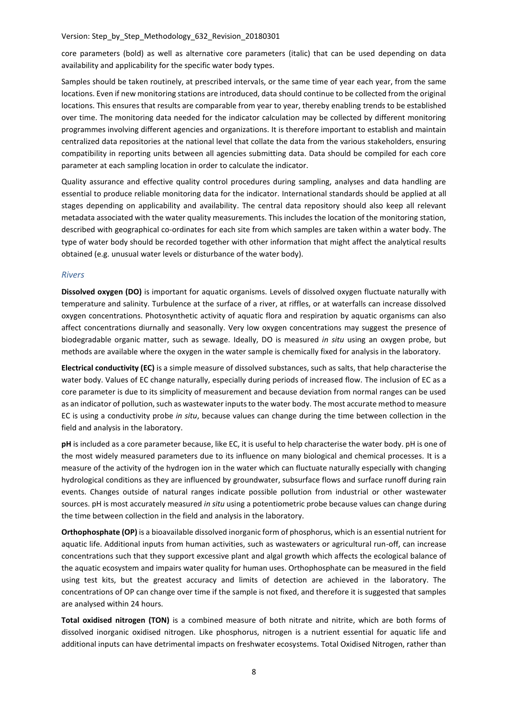core parameters (bold) as well as alternative core parameters (italic) that can be used depending on data availability and applicability for the specific water body types.

Samples should be taken routinely, at prescribed intervals, or the same time of year each year, from the same locations. Even if new monitoring stations are introduced, data should continue to be collected from the original locations. This ensures that results are comparable from year to year, thereby enabling trends to be established over time. The monitoring data needed for the indicator calculation may be collected by different monitoring programmes involving different agencies and organizations. It is therefore important to establish and maintain centralized data repositories at the national level that collate the data from the various stakeholders, ensuring compatibility in reporting units between all agencies submitting data. Data should be compiled for each core parameter at each sampling location in order to calculate the indicator.

Quality assurance and effective quality control procedures during sampling, analyses and data handling are essential to produce reliable monitoring data for the indicator. International standards should be applied at all stages depending on applicability and availability. The central data repository should also keep all relevant metadata associated with the water quality measurements. This includes the location of the monitoring station, described with geographical co-ordinates for each site from which samples are taken within a water body. The type of water body should be recorded together with other information that might affect the analytical results obtained (e.g. unusual water levels or disturbance of the water body).

#### *Rivers*

**Dissolved oxygen (DO)** is important for aquatic organisms. Levels of dissolved oxygen fluctuate naturally with temperature and salinity. Turbulence at the surface of a river, at riffles, or at waterfalls can increase dissolved oxygen concentrations. Photosynthetic activity of aquatic flora and respiration by aquatic organisms can also affect concentrations diurnally and seasonally. Very low oxygen concentrations may suggest the presence of biodegradable organic matter, such as sewage. Ideally, DO is measured *in situ* using an oxygen probe, but methods are available where the oxygen in the water sample is chemically fixed for analysis in the laboratory.

**Electrical conductivity (EC)** is a simple measure of dissolved substances, such as salts, that help characterise the water body. Values of EC change naturally, especially during periods of increased flow. The inclusion of EC as a core parameter is due to its simplicity of measurement and because deviation from normal ranges can be used as an indicator of pollution, such as wastewater inputs to the water body. The most accurate method to measure EC is using a conductivity probe *in situ*, because values can change during the time between collection in the field and analysis in the laboratory.

**pH** is included as a core parameter because, like EC, it is useful to help characterise the water body. pH is one of the most widely measured parameters due to its influence on many biological and chemical processes. It is a measure of the activity of the hydrogen ion in the water which can fluctuate naturally especially with changing hydrological conditions as they are influenced by groundwater, subsurface flows and surface runoff during rain events. Changes outside of natural ranges indicate possible pollution from industrial or other wastewater sources. pH is most accurately measured *in situ* using a potentiometric probe because values can change during the time between collection in the field and analysis in the laboratory.

**Orthophosphate (OP)** is a bioavailable dissolved inorganic form of phosphorus, which is an essential nutrient for aquatic life. Additional inputs from human activities, such as wastewaters or agricultural run-off, can increase concentrations such that they support excessive plant and algal growth which affects the ecological balance of the aquatic ecosystem and impairs water quality for human uses. Orthophosphate can be measured in the field using test kits, but the greatest accuracy and limits of detection are achieved in the laboratory. The concentrations of OP can change over time if the sample is not fixed, and therefore it is suggested that samples are analysed within 24 hours.

**Total oxidised nitrogen (TON)** is a combined measure of both nitrate and nitrite, which are both forms of dissolved inorganic oxidised nitrogen. Like phosphorus, nitrogen is a nutrient essential for aquatic life and additional inputs can have detrimental impacts on freshwater ecosystems. Total Oxidised Nitrogen, rather than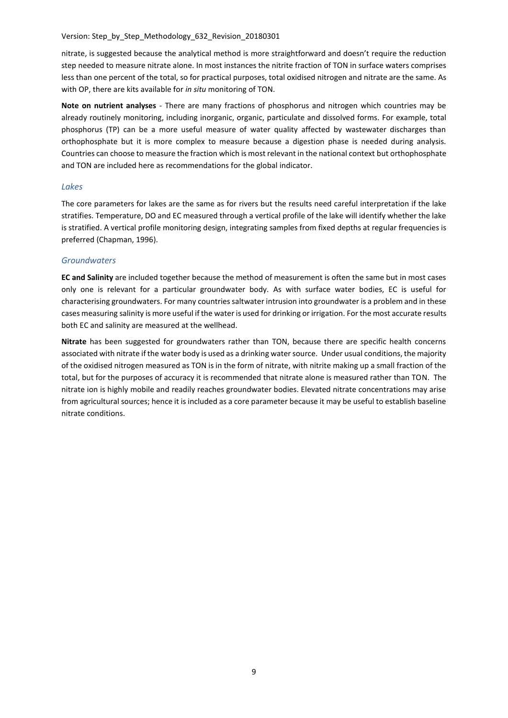nitrate, is suggested because the analytical method is more straightforward and doesn't require the reduction step needed to measure nitrate alone. In most instances the nitrite fraction of TON in surface waters comprises less than one percent of the total, so for practical purposes, total oxidised nitrogen and nitrate are the same. As with OP, there are kits available for *in situ* monitoring of TON.

**Note on nutrient analyses** - There are many fractions of phosphorus and nitrogen which countries may be already routinely monitoring, including inorganic, organic, particulate and dissolved forms. For example, total phosphorus (TP) can be a more useful measure of water quality affected by wastewater discharges than orthophosphate but it is more complex to measure because a digestion phase is needed during analysis. Countries can choose to measure the fraction which is most relevant in the national context but orthophosphate and TON are included here as recommendations for the global indicator.

## *Lakes*

The core parameters for lakes are the same as for rivers but the results need careful interpretation if the lake stratifies. Temperature, DO and EC measured through a vertical profile of the lake will identify whether the lake is stratified. A vertical profile monitoring design, integrating samples from fixed depths at regular frequencies is preferred (Chapman, 1996).

## *Groundwaters*

**EC and Salinity** are included together because the method of measurement is often the same but in most cases only one is relevant for a particular groundwater body. As with surface water bodies, EC is useful for characterising groundwaters. For many countries saltwater intrusion into groundwater is a problem and in these cases measuring salinity is more useful if the water is used for drinking or irrigation. For the most accurate results both EC and salinity are measured at the wellhead.

**Nitrate** has been suggested for groundwaters rather than TON, because there are specific health concerns associated with nitrate if the water body is used as a drinking water source. Under usual conditions, the majority of the oxidised nitrogen measured as TON is in the form of nitrate, with nitrite making up a small fraction of the total, but for the purposes of accuracy it is recommended that nitrate alone is measured rather than TON. The nitrate ion is highly mobile and readily reaches groundwater bodies. Elevated nitrate concentrations may arise from agricultural sources; hence it is included as a core parameter because it may be useful to establish baseline nitrate conditions.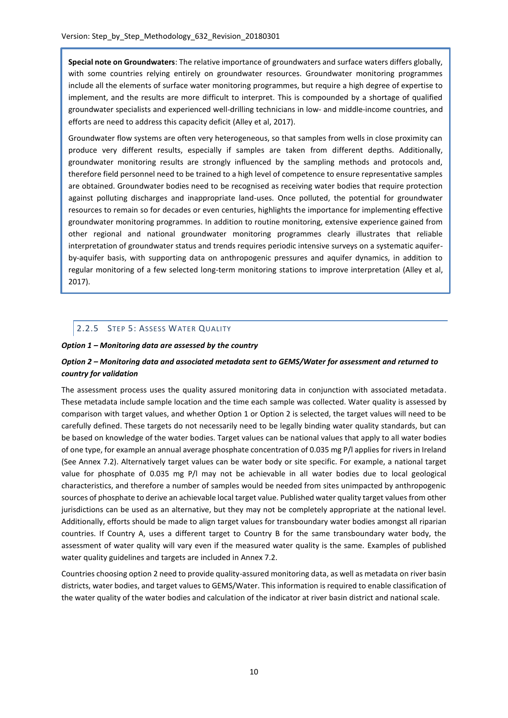**Special note on Groundwaters**: The relative importance of groundwaters and surface waters differs globally, with some countries relying entirely on groundwater resources. Groundwater monitoring programmes include all the elements of surface water monitoring programmes, but require a high degree of expertise to implement, and the results are more difficult to interpret. This is compounded by a shortage of qualified groundwater specialists and experienced well-drilling technicians in low- and middle-income countries, and efforts are need to address this capacity deficit (Alley et al, 2017).

Groundwater flow systems are often very heterogeneous, so that samples from wells in close proximity can produce very different results, especially if samples are taken from different depths. Additionally, groundwater monitoring results are strongly influenced by the sampling methods and protocols and, therefore field personnel need to be trained to a high level of competence to ensure representative samples are obtained. Groundwater bodies need to be recognised as receiving water bodies that require protection against polluting discharges and inappropriate land-uses. Once polluted, the potential for groundwater resources to remain so for decades or even centuries, highlights the importance for implementing effective groundwater monitoring programmes. In addition to routine monitoring, extensive experience gained from other regional and national groundwater monitoring programmes clearly illustrates that reliable interpretation of groundwater status and trends requires periodic intensive surveys on a systematic aquiferby-aquifer basis, with supporting data on anthropogenic pressures and aquifer dynamics, in addition to regular monitoring of a few selected long-term monitoring stations to improve interpretation (Alley et al, 2017).

# 2.2.5 STEP 5: ASSESS WATER QUALITY

## *Option 1 – Monitoring data are assessed by the country*

# *Option 2 – Monitoring data and associated metadata sent to GEMS/Water for assessment and returned to country for validation*

The assessment process uses the quality assured monitoring data in conjunction with associated metadata. These metadata include sample location and the time each sample was collected. Water quality is assessed by comparison with target values, and whether Option 1 or Option 2 is selected, the target values will need to be carefully defined. These targets do not necessarily need to be legally binding water quality standards, but can be based on knowledge of the water bodies. Target values can be national values that apply to all water bodies of one type, for example an annual average phosphate concentration of 0.035 mg P/l applies for rivers in Ireland (See Annex 7.2). Alternatively target values can be water body or site specific. For example, a national target value for phosphate of 0.035 mg P/l may not be achievable in all water bodies due to local geological characteristics, and therefore a number of samples would be needed from sites unimpacted by anthropogenic sources of phosphate to derive an achievable local target value. Published water quality target values from other jurisdictions can be used as an alternative, but they may not be completely appropriate at the national level. Additionally, efforts should be made to align target values for transboundary water bodies amongst all riparian countries. If Country A, uses a different target to Country B for the same transboundary water body, the assessment of water quality will vary even if the measured water quality is the same. Examples of published water quality guidelines and targets are included in Annex 7.2.

Countries choosing option 2 need to provide quality-assured monitoring data, as well as metadata on river basin districts, water bodies, and target values to GEMS/Water. This information is required to enable classification of the water quality of the water bodies and calculation of the indicator at river basin district and national scale.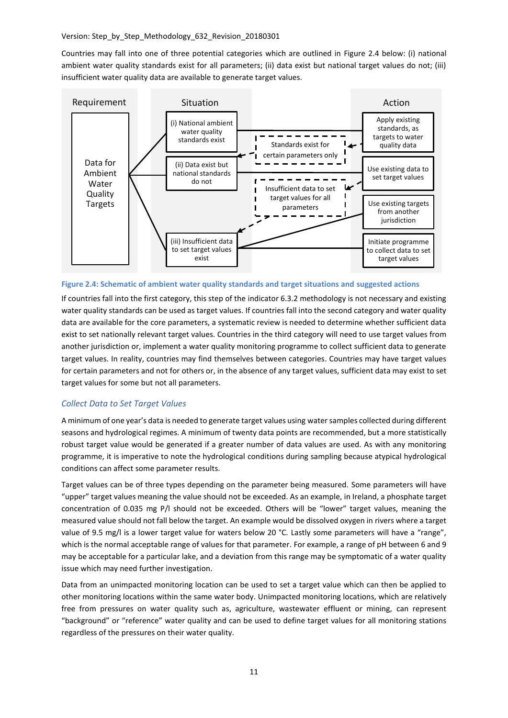Countries may fall into one of three potential categories which are outlined in [Figure 2.4](#page-10-0) below: (i) national ambient water quality standards exist for all parameters; (ii) data exist but national target values do not; (iii) insufficient water quality data are available to generate target values.



<span id="page-10-0"></span>**Figure 2.4: Schematic of ambient water quality standards and target situations and suggested actions**

If countries fall into the first category, this step of the indicator 6.3.2 methodology is not necessary and existing water quality standards can be used as target values. If countries fall into the second category and water quality data are available for the core parameters, a systematic review is needed to determine whether sufficient data exist to set nationally relevant target values. Countries in the third category will need to use target values from another jurisdiction or, implement a water quality monitoring programme to collect sufficient data to generate target values. In reality, countries may find themselves between categories. Countries may have target values for certain parameters and not for others or, in the absence of any target values, sufficient data may exist to set target values for some but not all parameters.

# *Collect Data to Set Target Values*

A minimum of one year's data is needed to generate target values using water samples collected during different seasons and hydrological regimes. A minimum of twenty data points are recommended, but a more statistically robust target value would be generated if a greater number of data values are used. As with any monitoring programme, it is imperative to note the hydrological conditions during sampling because atypical hydrological conditions can affect some parameter results.

Target values can be of three types depending on the parameter being measured. Some parameters will have "upper" target values meaning the value should not be exceeded. As an example, in Ireland, a phosphate target concentration of 0.035 mg P/l should not be exceeded. Others will be "lower" target values, meaning the measured value should not fall below the target. An example would be dissolved oxygen in rivers where a target value of 9.5 mg/l is a lower target value for waters below 20 °C. Lastly some parameters will have a "range", which is the normal acceptable range of values for that parameter. For example, a range of pH between 6 and 9 may be acceptable for a particular lake, and a deviation from this range may be symptomatic of a water quality issue which may need further investigation.

Data from an unimpacted monitoring location can be used to set a target value which can then be applied to other monitoring locations within the same water body. Unimpacted monitoring locations, which are relatively free from pressures on water quality such as, agriculture, wastewater effluent or mining, can represent "background" or "reference" water quality and can be used to define target values for all monitoring stations regardless of the pressures on their water quality.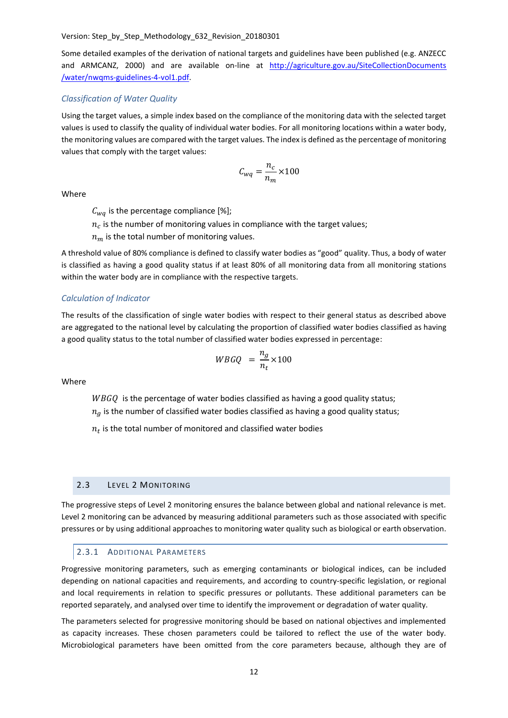Some detailed examples of the derivation of national targets and guidelines have been published (e.g. ANZECC and ARMCANZ, 2000) and are available on-line at http://agriculture.gov.au/SiteCollectionDocuments [/water/nwqms-guidelines-4-vol1.pdf.](http://agriculture.gov.au/SiteCollectionDocuments%20/water/nwqms-guidelines-4-vol1.pdf)

# *Classification of Water Quality*

Using the target values, a simple index based on the compliance of the monitoring data with the selected target values is used to classify the quality of individual water bodies. For all monitoring locations within a water body, the monitoring values are compared with the target values. The index is defined as the percentage of monitoring values that comply with the target values:

$$
C_{wq} = \frac{n_c}{n_m} \times 100
$$

Where

 $C_{wa}$  is the percentage compliance [%];

 $n_c$  is the number of monitoring values in compliance with the target values;

 $n_m$  is the total number of monitoring values.

A threshold value of 80% compliance is defined to classify water bodies as "good" quality. Thus, a body of water is classified as having a good quality status if at least 80% of all monitoring data from all monitoring stations within the water body are in compliance with the respective targets.

#### *Calculation of Indicator*

The results of the classification of single water bodies with respect to their general status as described above are aggregated to the national level by calculating the proportion of classified water bodies classified as having a good quality status to the total number of classified water bodies expressed in percentage:

$$
WBGQ = \frac{n_g}{n_t} \times 100
$$

Where

 $WBGQ$  is the percentage of water bodies classified as having a good quality status;  $n_a$  is the number of classified water bodies classified as having a good quality status;

 $n_t$  is the total number of monitored and classified water bodies

#### 2.3 LEVEL 2 MONITORING

The progressive steps of Level 2 monitoring ensures the balance between global and national relevance is met. Level 2 monitoring can be advanced by measuring additional parameters such as those associated with specific pressures or by using additional approaches to monitoring water quality such as biological or earth observation.

#### 2.3.1 ADDITIONAL PARAMETERS

Progressive monitoring parameters, such as emerging contaminants or biological indices, can be included depending on national capacities and requirements, and according to country-specific legislation, or regional and local requirements in relation to specific pressures or pollutants. These additional parameters can be reported separately, and analysed over time to identify the improvement or degradation of water quality.

The parameters selected for progressive monitoring should be based on national objectives and implemented as capacity increases. These chosen parameters could be tailored to reflect the use of the water body. Microbiological parameters have been omitted from the core parameters because, although they are of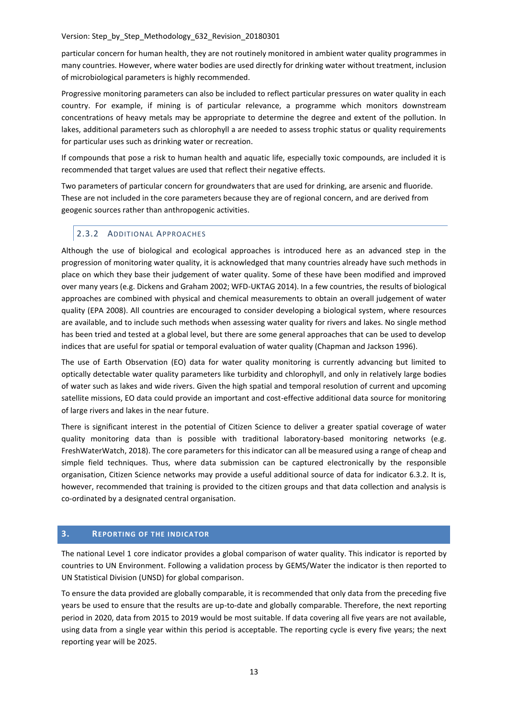particular concern for human health, they are not routinely monitored in ambient water quality programmes in many countries. However, where water bodies are used directly for drinking water without treatment, inclusion of microbiological parameters is highly recommended.

Progressive monitoring parameters can also be included to reflect particular pressures on water quality in each country. For example, if mining is of particular relevance, a programme which monitors downstream concentrations of heavy metals may be appropriate to determine the degree and extent of the pollution. In lakes, additional parameters such as chlorophyll a are needed to assess trophic status or quality requirements for particular uses such as drinking water or recreation.

If compounds that pose a risk to human health and aquatic life, especially toxic compounds, are included it is recommended that target values are used that reflect their negative effects.

Two parameters of particular concern for groundwaters that are used for drinking, are arsenic and fluoride. These are not included in the core parameters because they are of regional concern, and are derived from geogenic sources rather than anthropogenic activities.

# 2.3.2 ADDITIONAL APPROACHES

Although the use of biological and ecological approaches is introduced here as an advanced step in the progression of monitoring water quality, it is acknowledged that many countries already have such methods in place on which they base their judgement of water quality. Some of these have been modified and improved over many years (e.g. Dickens and Graham 2002; WFD-UKTAG 2014). In a few countries, the results of biological approaches are combined with physical and chemical measurements to obtain an overall judgement of water quality (EPA 2008). All countries are encouraged to consider developing a biological system, where resources are available, and to include such methods when assessing water quality for rivers and lakes. No single method has been tried and tested at a global level, but there are some general approaches that can be used to develop indices that are useful for spatial or temporal evaluation of water quality (Chapman and Jackson 1996).

The use of Earth Observation (EO) data for water quality monitoring is currently advancing but limited to optically detectable water quality parameters like turbidity and chlorophyll, and only in relatively large bodies of water such as lakes and wide rivers. Given the high spatial and temporal resolution of current and upcoming satellite missions, EO data could provide an important and cost-effective additional data source for monitoring of large rivers and lakes in the near future.

There is significant interest in the potential of Citizen Science to deliver a greater spatial coverage of water quality monitoring data than is possible with traditional laboratory-based monitoring networks (e.g. FreshWaterWatch, 2018). The core parameters for this indicator can all be measured using a range of cheap and simple field techniques. Thus, where data submission can be captured electronically by the responsible organisation, Citizen Science networks may provide a useful additional source of data for indicator 6.3.2. It is, however, recommended that training is provided to the citizen groups and that data collection and analysis is co-ordinated by a designated central organisation.

# **3. REPORTING OF THE INDICATOR**

The national Level 1 core indicator provides a global comparison of water quality. This indicator is reported by countries to UN Environment. Following a validation process by GEMS/Water the indicator is then reported to UN Statistical Division (UNSD) for global comparison.

To ensure the data provided are globally comparable, it is recommended that only data from the preceding five years be used to ensure that the results are up-to-date and globally comparable. Therefore, the next reporting period in 2020, data from 2015 to 2019 would be most suitable. If data covering all five years are not available, using data from a single year within this period is acceptable. The reporting cycle is every five years; the next reporting year will be 2025.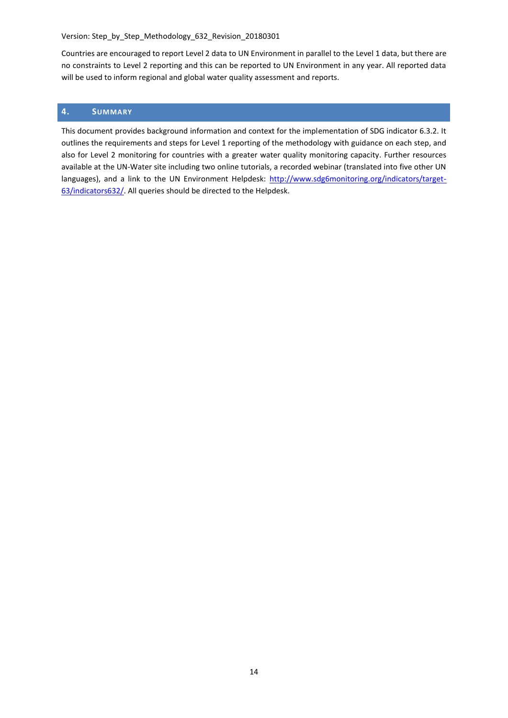Countries are encouraged to report Level 2 data to UN Environment in parallel to the Level 1 data, but there are no constraints to Level 2 reporting and this can be reported to UN Environment in any year. All reported data will be used to inform regional and global water quality assessment and reports.

# **4. SUMMARY**

This document provides background information and context for the implementation of SDG indicator 6.3.2. It outlines the requirements and steps for Level 1 reporting of the methodology with guidance on each step, and also for Level 2 monitoring for countries with a greater water quality monitoring capacity. Further resources available at the UN-Water site including two online tutorials, a recorded webinar (translated into five other UN languages), and a link to the UN Environment Helpdesk: [http://www.sdg6monitoring.org/indicators/target-](http://www.sdg6monitoring.org/indicators/target-63/indicators632/)[63/indicators632/.](http://www.sdg6monitoring.org/indicators/target-63/indicators632/) All queries should be directed to the Helpdesk.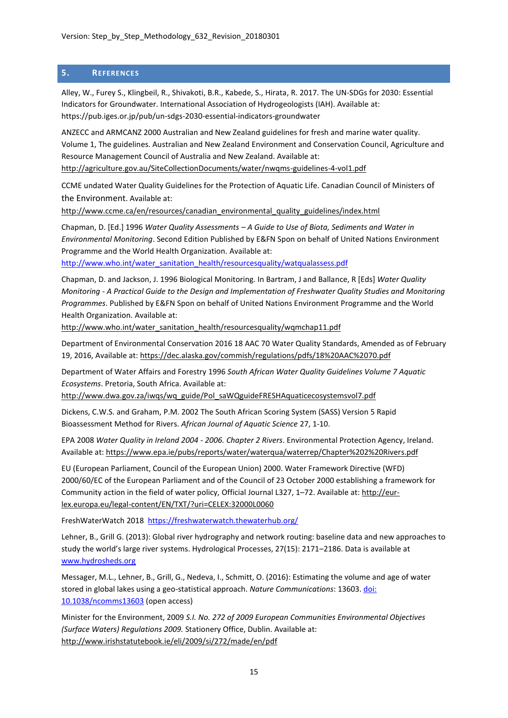# **5. REFERENCES**

Alley, W., Furey S., Klingbeil, R., Shivakoti, B.R., Kabede, S., Hirata, R. 2017. The UN-SDGs for 2030: Essential Indicators for Groundwater. International Association of Hydrogeologists (IAH). Available at: https://pub.iges.or.jp/pub/un-sdgs-2030-essential-indicators-groundwater

ANZECC and ARMCANZ 2000 Australian and New Zealand guidelines for fresh and marine water quality. Volume 1, The guidelines. Australian and New Zealand Environment and Conservation Council, Agriculture and Resource Management Council of Australia and New Zealand. Available at: <http://agriculture.gov.au/SiteCollectionDocuments/water/nwqms-guidelines-4-vol1.pdf>

CCME undated Water Quality Guidelines for the Protection of Aquatic Life. Canadian Council of Ministers of the Environment. Available at:

[http://www.ccme.ca/en/resources/canadian\\_environmental\\_quality\\_guidelines/index.html](http://www.ccme.ca/en/resources/canadian_environmental_quality_guidelines/index.html)

Chapman, D. [Ed.] 1996 *Water Quality Assessments – A Guide to Use of Biota, Sediments and Water in Environmental Monitoring*. Second Edition Published by E&FN Spon on behalf of United Nations Environment Programme and the World Health Organization. Available at:

[http://www.who.int/water\\_sanitation\\_health/resourcesquality/watqualassess.pdf](http://www.who.int/water_sanitation_health/resourcesquality/watqualassess.pdf)

Chapman, D. and Jackson, J. 1996 Biological Monitoring. In Bartram, J and Ballance, R [Eds] *Water Quality Monitoring - A Practical Guide to the Design and Implementation of Freshwater Quality Studies and Monitoring Programmes*. Published by E&FN Spon on behalf of United Nations Environment Programme and the World Health Organization. Available at:

[http://www.who.int/water\\_sanitation\\_health/resourcesquality/wqmchap11.pdf](http://www.who.int/water_sanitation_health/resourcesquality/wqmchap11.pdf)

Department of Environmental Conservation 2016 18 AAC 70 Water Quality Standards, Amended as of February 19, 2016, Available at:<https://dec.alaska.gov/commish/regulations/pdfs/18%20AAC%2070.pdf>

Department of Water Affairs and Forestry 1996 *South African Water Quality Guidelines Volume 7 Aquatic Ecosystems*. Pretoria, South Africa. Available at:

[http://www.dwa.gov.za/iwqs/wq\\_guide/Pol\\_saWQguideFRESHAquaticecosystemsvol7.pdf](http://www.dwa.gov.za/iwqs/wq_guide/Pol_saWQguideFRESHAquaticecosystemsvol7.pdf)

Dickens, C.W.S. and Graham, P.M. 2002 The South African Scoring System (SASS) Version 5 Rapid Bioassessment Method for Rivers. *African Journal of Aquatic Science* 27, 1-10.

EPA 2008 *Water Quality in Ireland 2004 - 2006. Chapter 2 Rivers*. Environmental Protection Agency, Ireland. Available at:<https://www.epa.ie/pubs/reports/water/waterqua/waterrep/Chapter%202%20Rivers.pdf>

EU (European Parliament, Council of the European Union) 2000. Water Framework Directive (WFD) 2000/60/EC of the European Parliament and of the Council of 23 October 2000 establishing a framework for Community action in the field of water policy, Official Journal L327, 1–72. Available at: [http://eur](http://eur-lex.europa.eu/legal-content/EN/TXT/?uri=CELEX:32000L0060)[lex.europa.eu/legal-content/EN/TXT/?uri=CELEX:32000L0060](http://eur-lex.europa.eu/legal-content/EN/TXT/?uri=CELEX:32000L0060)

FreshWaterWatch 2018 <https://freshwaterwatch.thewaterhub.org/>

Lehner, B., Grill G. (2013): Global river hydrography and network routing: baseline data and new approaches to study the world's large river systems. Hydrological Processes, 27(15): 2171–2186. Data is available at [www.hydrosheds.org](http://www.hydrosheds.org/)

Messager, M.L., Lehner, B., Grill, G., Nedeva, I., Schmitt, O. (2016): Estimating the volume and age of water stored in global lakes using a geo-statistical approach. *Nature Communications*: 13603. [doi:](http://dx.doi.org/10.1038/ncomms13603)  [10.1038/ncomms13603](http://dx.doi.org/10.1038/ncomms13603) (open access)

Minister for the Environment, 2009 *S.I. No. 272 of 2009 European Communities Environmental Objectives (Surface Waters) Regulations 2009.* Stationery Office, Dublin. Available at: <http://www.irishstatutebook.ie/eli/2009/si/272/made/en/pdf>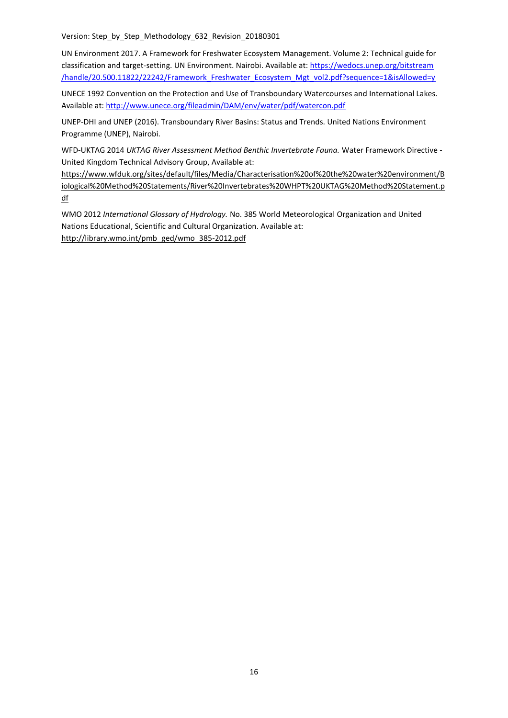UN Environment 2017. A Framework for Freshwater Ecosystem Management. Volume 2: Technical guide for classification and target-setting. UN Environment. Nairobi. Available at[: https://wedocs.unep.org/bitstream](https://wedocs.unep.org/bitstream%20/handle/20.500.11822/22242/Framework_Freshwater_Ecosystem_Mgt_vol2.pdf?sequence=1&isAllowed=y)  [/handle/20.500.11822/22242/Framework\\_Freshwater\\_Ecosystem\\_Mgt\\_vol2.pdf?sequence=1&isAllowed=y](https://wedocs.unep.org/bitstream%20/handle/20.500.11822/22242/Framework_Freshwater_Ecosystem_Mgt_vol2.pdf?sequence=1&isAllowed=y)

UNECE 1992 Convention on the Protection and Use of Transboundary Watercourses and International Lakes. Available at:<http://www.unece.org/fileadmin/DAM/env/water/pdf/watercon.pdf>

UNEP-DHI and UNEP (2016). Transboundary River Basins: Status and Trends. United Nations Environment Programme (UNEP), Nairobi.

WFD-UKTAG 2014 *UKTAG River Assessment Method Benthic Invertebrate Fauna.* Water Framework Directive - United Kingdom Technical Advisory Group, Available at:

[https://www.wfduk.org/sites/default/files/Media/Characterisation%20of%20the%20water%20environment/B](https://www.wfduk.org/sites/default/files/Media/Characterisation%20of%20the%20water%20environment/Biological%20Method%20Statements/River%20Invertebrates%20WHPT%20UKTAG%20Method%20Statement.pdf) [iological%20Method%20Statements/River%20Invertebrates%20WHPT%20UKTAG%20Method%20Statement.p](https://www.wfduk.org/sites/default/files/Media/Characterisation%20of%20the%20water%20environment/Biological%20Method%20Statements/River%20Invertebrates%20WHPT%20UKTAG%20Method%20Statement.pdf) [df](https://www.wfduk.org/sites/default/files/Media/Characterisation%20of%20the%20water%20environment/Biological%20Method%20Statements/River%20Invertebrates%20WHPT%20UKTAG%20Method%20Statement.pdf)

WMO 2012 *International Glossary of Hydrology.* No. 385 World Meteorological Organization and United Nations Educational, Scientific and Cultural Organization. Available at: [http://library.wmo.int/pmb\\_ged/wmo\\_385-2012.pdf](http://library.wmo.int/pmb_ged/wmo_385-2012.pdf)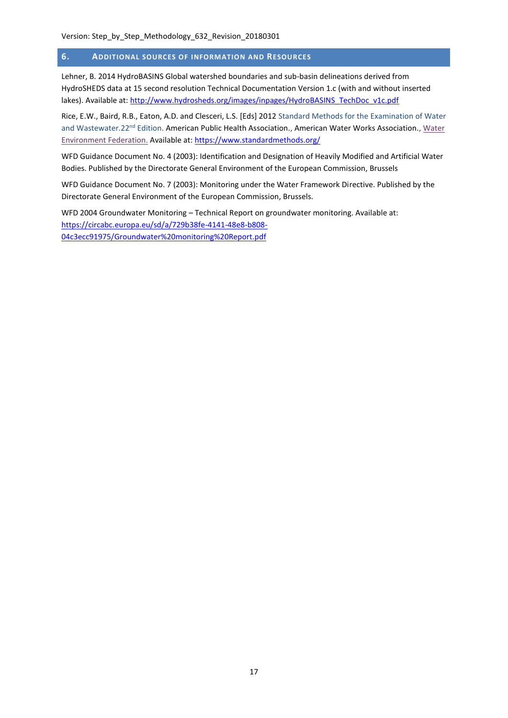# **6. ADDITIONAL SOURCES OF INFORMATION AND RESOURCES**

Lehner, B. 2014 HydroBASINS Global watershed boundaries and sub-basin delineations derived from HydroSHEDS data at 15 second resolution Technical Documentation Version 1.c (with and without inserted lakes). Available at[: http://www.hydrosheds.org/images/inpages/HydroBASINS\\_TechDoc\\_v1c.pdf](http://www.hydrosheds.org/images/inpages/HydroBASINS_TechDoc_v1c.pdf)

Rice, E.W., Baird, R.B., Eaton, A.D. and Clesceri, L.S. [Eds] 2012 Standard Methods for the Examination of Water and Wastewater.22<sup>nd</sup> Edition. American Public Health Association., American [Water](http://www.wef.org/) Works Association., Water [Environment Federation.](http://www.wef.org/) Available at:<https://www.standardmethods.org/>

WFD Guidance Document No. 4 (2003): Identification and Designation of Heavily Modified and Artificial Water Bodies. Published by the Directorate General Environment of the European Commission, Brussels

WFD Guidance Document No. 7 (2003): Monitoring under the Water Framework Directive. Published by the Directorate General Environment of the European Commission, Brussels.

WFD 2004 Groundwater Monitoring – Technical Report on groundwater monitoring. Available at: [https://circabc.europa.eu/sd/a/729b38fe-4141-48e8-b808-](https://circabc.europa.eu/sd/a/729b38fe-4141-48e8-b808-04c3ecc91975/Groundwater%20monitoring%20Report.pdf) [04c3ecc91975/Groundwater%20monitoring%20Report.pdf](https://circabc.europa.eu/sd/a/729b38fe-4141-48e8-b808-04c3ecc91975/Groundwater%20monitoring%20Report.pdf)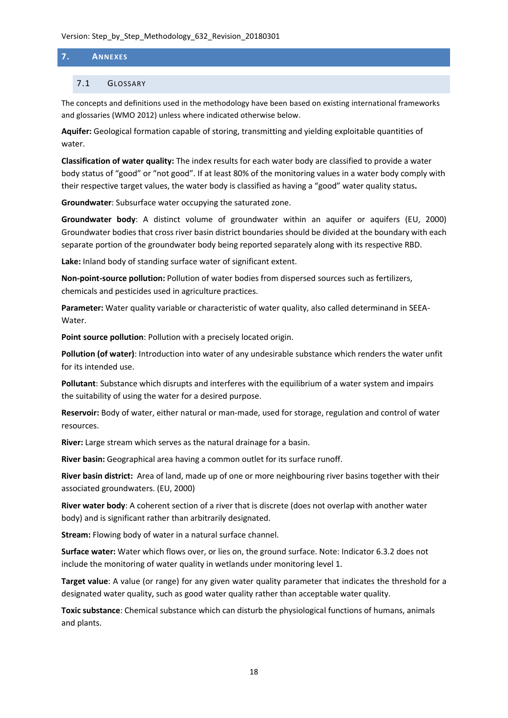# **7. ANNEXES**

# 7.1 GLOSSARY

The concepts and definitions used in the methodology have been based on existing international frameworks and glossaries (WMO 2012) unless where indicated otherwise below.

**Aquifer:** Geological formation capable of storing, transmitting and yielding exploitable quantities of water.

**Classification of water quality:** The index results for each water body are classified to provide a water body status of "good" or "not good". If at least 80% of the monitoring values in a water body comply with their respective target values, the water body is classified as having a "good" water quality status**.**

**Groundwater**: Subsurface water occupying the saturated zone.

**Groundwater body**: A distinct volume of groundwater within an aquifer or aquifers (EU, 2000) Groundwater bodies that cross river basin district boundaries should be divided at the boundary with each separate portion of the groundwater body being reported separately along with its respective RBD.

**Lake:** Inland body of standing surface water of significant extent.

**Non-point-source pollution:** Pollution of water bodies from dispersed sources such as fertilizers, chemicals and pesticides used in agriculture practices.

**Parameter:** Water quality variable or characteristic of water quality, also called determinand in SEEA-Water.

**Point source pollution**: Pollution with a precisely located origin.

**Pollution (of water)**: Introduction into water of any undesirable substance which renders the water unfit for its intended use.

**Pollutant**: Substance which disrupts and interferes with the equilibrium of a water system and impairs the suitability of using the water for a desired purpose.

**Reservoir:** Body of water, either natural or man-made, used for storage, regulation and control of water resources.

**River:** Large stream which serves as the natural drainage for a basin.

**River basin:** Geographical area having a common outlet for its surface runoff.

**River basin district:** Area of land, made up of one or more neighbouring river basins together with their associated groundwaters. (EU, 2000)

**River water body**: A coherent section of a river that is discrete (does not overlap with another water body) and is significant rather than arbitrarily designated.

**Stream:** Flowing body of water in a natural surface channel.

**Surface water:** Water which flows over, or lies on, the ground surface. Note: Indicator 6.3.2 does not include the monitoring of water quality in wetlands under monitoring level 1.

**Target value**: A value (or range) for any given water quality parameter that indicates the threshold for a designated water quality, such as good water quality rather than acceptable water quality.

**Toxic substance**: Chemical substance which can disturb the physiological functions of humans, animals and plants.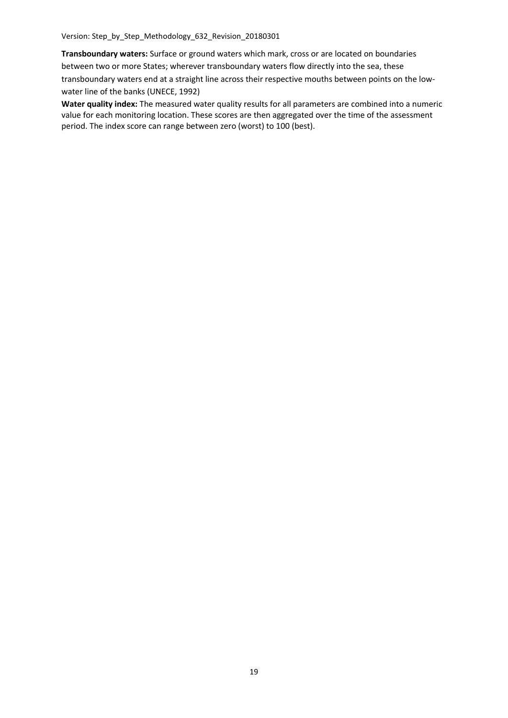**Transboundary waters:** Surface or ground waters which mark, cross or are located on boundaries between two or more States; wherever transboundary waters flow directly into the sea, these transboundary waters end at a straight line across their respective mouths between points on the lowwater line of the banks (UNECE, 1992)

**Water quality index:** The measured water quality results for all parameters are combined into a numeric value for each monitoring location. These scores are then aggregated over the time of the assessment period. The index score can range between zero (worst) to 100 (best).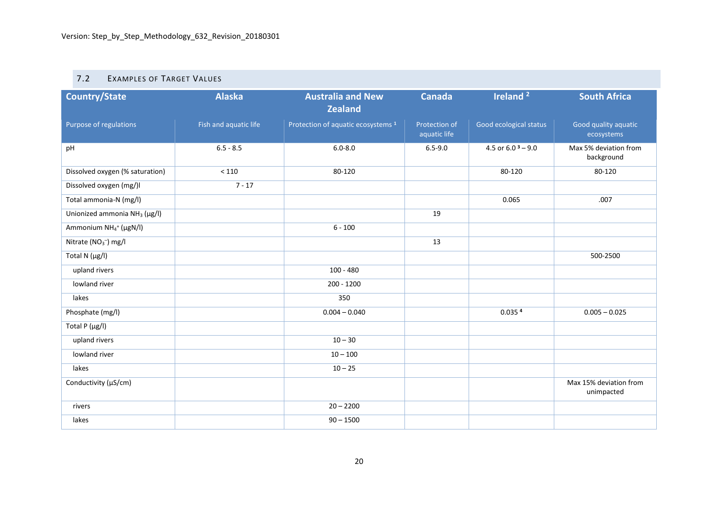# 7.2 EXAMPLES OF TARGET VALUES

| <b>Country/State</b>                          | <b>Alaska</b>         | <b>Australia and New</b><br><b>Zealand</b>    | <b>Canada</b>                 | Ireland <sup>2</sup>   | <b>South Africa</b>                  |
|-----------------------------------------------|-----------------------|-----------------------------------------------|-------------------------------|------------------------|--------------------------------------|
| Purpose of regulations                        | Fish and aquatic life | Protection of aquatic ecosystems <sup>1</sup> | Protection of<br>aquatic life | Good ecological status | Good quality aquatic<br>ecosystems   |
| pH                                            | $6.5 - 8.5$           | $6.0 - 8.0$                                   | $6.5 - 9.0$                   | 4.5 or $6.0^3 - 9.0$   | Max 5% deviation from<br>background  |
| Dissolved oxygen (% saturation)               | $<110$                | 80-120                                        |                               | 80-120                 | 80-120                               |
| Dissolved oxygen (mg/)I                       | $7 - 17$              |                                               |                               |                        |                                      |
| Total ammonia-N (mg/l)                        |                       |                                               |                               | 0.065                  | .007                                 |
| Unionized ammonia $NH3$ (µg/l)                |                       |                                               | 19                            |                        |                                      |
| Ammonium NH <sub>4</sub> <sup>+</sup> (µgN/l) |                       | $6 - 100$                                     |                               |                        |                                      |
| Nitrate (NO <sub>3</sub> <sup>-</sup> ) mg/l  |                       |                                               | 13                            |                        |                                      |
| Total N (µg/l)                                |                       |                                               |                               |                        | 500-2500                             |
| upland rivers                                 |                       | $100 - 480$                                   |                               |                        |                                      |
| lowland river                                 |                       | $200 - 1200$                                  |                               |                        |                                      |
| lakes                                         |                       | 350                                           |                               |                        |                                      |
| Phosphate (mg/l)                              |                       | $0.004 - 0.040$                               |                               | 0.035 <sup>4</sup>     | $0.005 - 0.025$                      |
| Total P (µg/l)                                |                       |                                               |                               |                        |                                      |
| upland rivers                                 |                       | $10 - 30$                                     |                               |                        |                                      |
| lowland river                                 |                       | $10 - 100$                                    |                               |                        |                                      |
| lakes                                         |                       | $10 - 25$                                     |                               |                        |                                      |
| Conductivity (µS/cm)                          |                       |                                               |                               |                        | Max 15% deviation from<br>unimpacted |
| rivers                                        |                       | $20 - 2200$                                   |                               |                        |                                      |
| lakes                                         |                       | $90 - 1500$                                   |                               |                        |                                      |